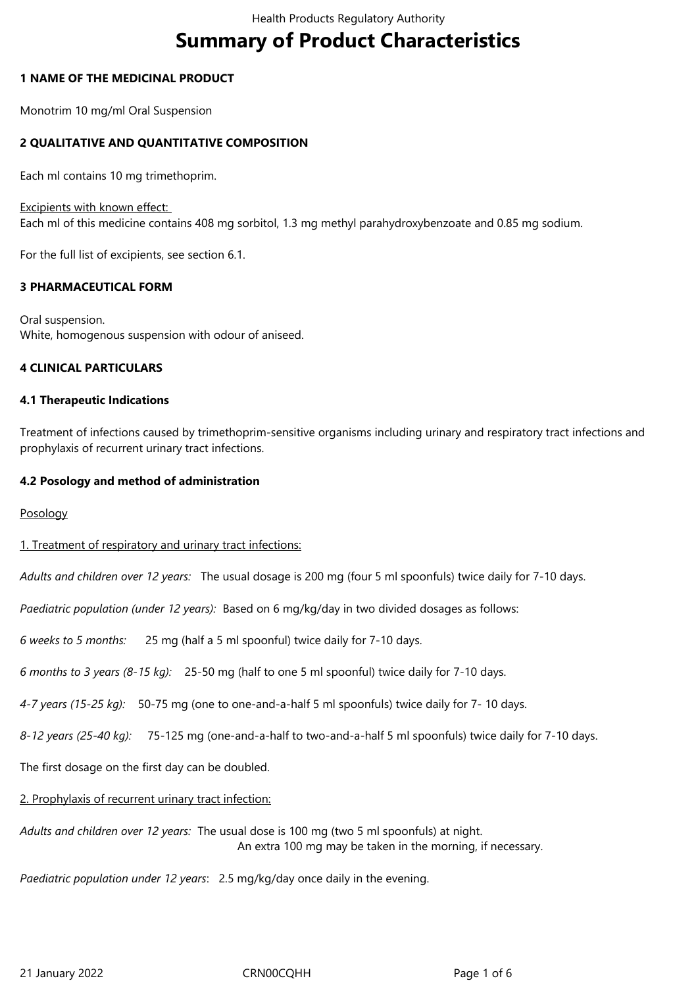# **Summary of Product Characteristics**

#### **1 NAME OF THE MEDICINAL PRODUCT**

Monotrim 10 mg/ml Oral Suspension

#### **2 QUALITATIVE AND QUANTITATIVE COMPOSITION**

Each ml contains 10 mg trimethoprim.

Excipients with known effect:

Each ml of this medicine contains 408 mg sorbitol, 1.3 mg methyl parahydroxybenzoate and 0.85 mg sodium.

For the full list of excipients, see section 6.1.

#### **3 PHARMACEUTICAL FORM**

Oral suspension. White, homogenous suspension with odour of aniseed.

#### **4 CLINICAL PARTICULARS**

#### **4.1 Therapeutic Indications**

Treatment of infections caused by trimethoprim-sensitive organisms including urinary and respiratory tract infections and prophylaxis of recurrent urinary tract infections.

#### **4.2 Posology and method of administration**

Posology

#### 1. Treatment of respiratory and urinary tract infections:

*Adults and children over 12 years:* The usual dosage is 200 mg (four 5 ml spoonfuls) twice daily for 7-10 days.

*Paediatric population (under 12 years):* Based on 6 mg/kg/day in two divided dosages as follows:

*6 weeks to 5 months:*  25 mg (half a 5 ml spoonful) twice daily for 7-10 days.

*6 months to 3 years (8-15 kg):* 25-50 mg (half to one 5 ml spoonful) twice daily for 7-10 days.

*4-7 years (15-25 kg):* 50-75 mg (one to one-and-a-half 5 ml spoonfuls) twice daily for 7- 10 days.

*8-12 years (25-40 kg):* 75-125 mg (one-and-a-half to two-and-a-half 5 ml spoonfuls) twice daily for 7-10 days.

The first dosage on the first day can be doubled.

# 2. Prophylaxis of recurrent urinary tract infection:

*Adults and children over 12 years:* The usual dose is 100 mg (two 5 ml spoonfuls) at night. An extra 100 mg may be taken in the morning, if necessary.

*Paediatric population under 12 years*: 2.5 mg/kg/day once daily in the evening.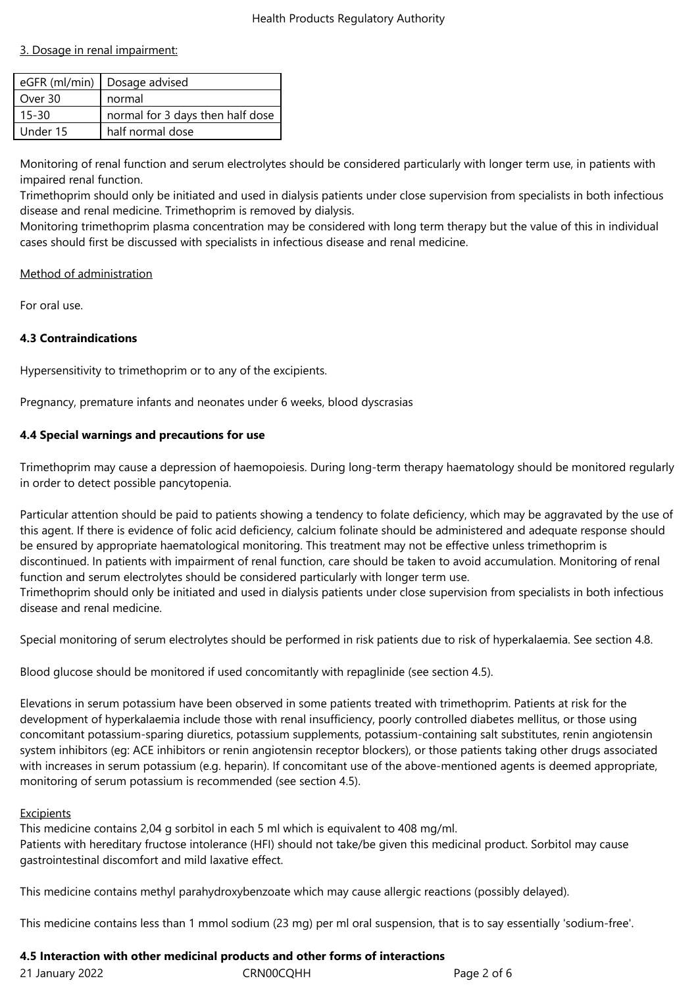#### 3. Dosage in renal impairment:

|           | eGFR (ml/min)   Dosage advised   |
|-----------|----------------------------------|
| Over 30   | normal                           |
| $15 - 30$ | normal for 3 days then half dose |
| Under 15  | half normal dose                 |
|           |                                  |

Monitoring of renal function and serum electrolytes should be considered particularly with longer term use, in patients with impaired renal function.

Trimethoprim should only be initiated and used in dialysis patients under close supervision from specialists in both infectious disease and renal medicine. Trimethoprim is removed by dialysis.

Monitoring trimethoprim plasma concentration may be considered with long term therapy but the value of this in individual cases should first be discussed with specialists in infectious disease and renal medicine.

#### Method of administration

For oral use.

# **4.3 Contraindications**

Hypersensitivity to trimethoprim or to any of the excipients.

Pregnancy, premature infants and neonates under 6 weeks, blood dyscrasias

#### **4.4 Special warnings and precautions for use**

Trimethoprim may cause a depression of haemopoiesis. During long-term therapy haematology should be monitored regularly in order to detect possible pancytopenia.

Particular attention should be paid to patients showing a tendency to folate deficiency, which may be aggravated by the use of this agent. If there is evidence of folic acid deficiency, calcium folinate should be administered and adequate response should be ensured by appropriate haematological monitoring. This treatment may not be effective unless trimethoprim is discontinued. In patients with impairment of renal function, care should be taken to avoid accumulation. Monitoring of renal function and serum electrolytes should be considered particularly with longer term use. Trimethoprim should only be initiated and used in dialysis patients under close supervision from specialists in both infectious disease and renal medicine.

Special monitoring of serum electrolytes should be performed in risk patients due to risk of hyperkalaemia. See section 4.8.

Blood glucose should be monitored if used concomitantly with repaglinide (see section 4.5).

Elevations in serum potassium have been observed in some patients treated with trimethoprim. Patients at risk for the development of hyperkalaemia include those with renal insufficiency, poorly controlled diabetes mellitus, or those using concomitant potassium-sparing diuretics, potassium supplements, potassium-containing salt substitutes, renin angiotensin system inhibitors (eg: ACE inhibitors or renin angiotensin receptor blockers), or those patients taking other drugs associated with increases in serum potassium (e.g. heparin). If concomitant use of the above-mentioned agents is deemed appropriate, monitoring of serum potassium is recommended (see section 4.5).

#### Excipients

This medicine contains 2,04 g sorbitol in each 5 ml which is equivalent to 408 mg/ml. Patients with hereditary fructose intolerance (HFI) should not take/be given this medicinal product. Sorbitol may cause gastrointestinal discomfort and mild laxative effect.

This medicine contains methyl parahydroxybenzoate which may cause allergic reactions (possibly delayed).

This medicine contains less than 1 mmol sodium (23 mg) per ml oral suspension, that is to say essentially 'sodium-free'.

# **4.5 Interaction with other medicinal products and other forms of interactions**

| 21 January 2022 | CRN00CQHH | Page 2 of 6 |
|-----------------|-----------|-------------|
|                 |           |             |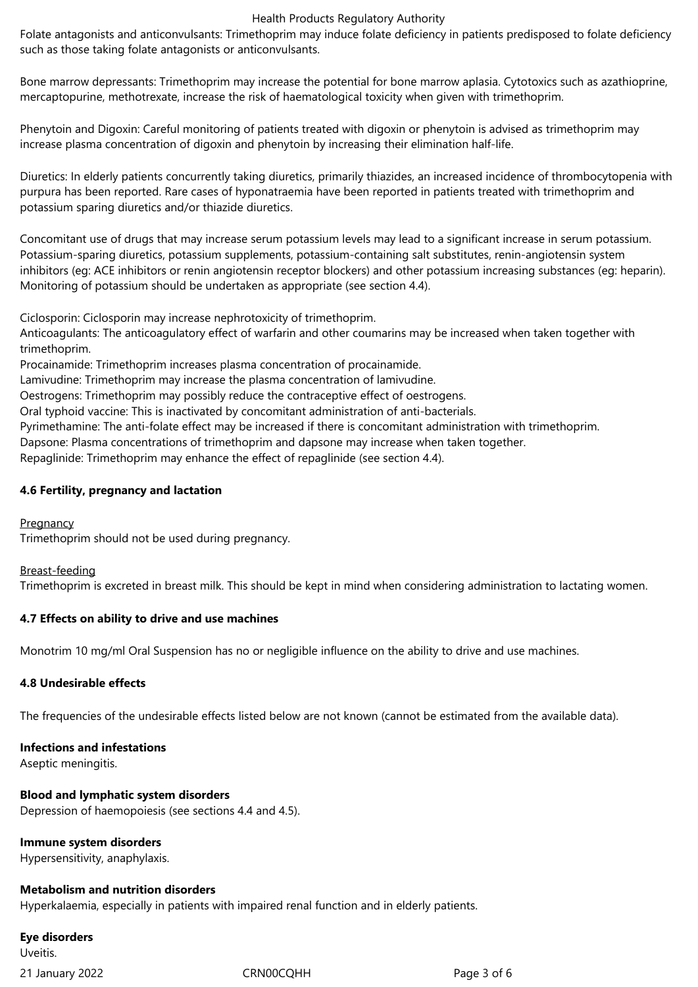#### Health Products Regulatory Authority

Folate antagonists and anticonvulsants: Trimethoprim may induce folate deficiency in patients predisposed to folate deficiency such as those taking folate antagonists or anticonvulsants.

Bone marrow depressants: Trimethoprim may increase the potential for bone marrow aplasia. Cytotoxics such as azathioprine, mercaptopurine, methotrexate, increase the risk of haematological toxicity when given with trimethoprim.

Phenytoin and Digoxin: Careful monitoring of patients treated with digoxin or phenytoin is advised as trimethoprim may increase plasma concentration of digoxin and phenytoin by increasing their elimination half-life.

Diuretics: In elderly patients concurrently taking diuretics, primarily thiazides, an increased incidence of thrombocytopenia with purpura has been reported. Rare cases of hyponatraemia have been reported in patients treated with trimethoprim and potassium sparing diuretics and/or thiazide diuretics.

Concomitant use of drugs that may increase serum potassium levels may lead to a significant increase in serum potassium. Potassium-sparing diuretics, potassium supplements, potassium-containing salt substitutes, renin-angiotensin system inhibitors (eg: ACE inhibitors or renin angiotensin receptor blockers) and other potassium increasing substances (eg: heparin). Monitoring of potassium should be undertaken as appropriate (see section 4.4).

Ciclosporin: Ciclosporin may increase nephrotoxicity of trimethoprim.

Anticoagulants: The anticoagulatory effect of warfarin and other coumarins may be increased when taken together with trimethoprim.

Procainamide: Trimethoprim increases plasma concentration of procainamide.

Lamivudine: Trimethoprim may increase the plasma concentration of lamivudine.

Oestrogens: Trimethoprim may possibly reduce the contraceptive effect of oestrogens.

Oral typhoid vaccine: This is inactivated by concomitant administration of anti-bacterials.

Pyrimethamine: The anti-folate effect may be increased if there is concomitant administration with trimethoprim.

Dapsone: Plasma concentrations of trimethoprim and dapsone may increase when taken together.

Repaglinide: Trimethoprim may enhance the effect of repaglinide (see section 4.4).

#### **4.6 Fertility, pregnancy and lactation**

#### **Pregnancy**

Trimethoprim should not be used during pregnancy.

#### Breast-feeding

Trimethoprim is excreted in breast milk. This should be kept in mind when considering administration to lactating women.

#### **4.7 Effects on ability to drive and use machines**

Monotrim 10 mg/ml Oral Suspension has no or negligible influence on the ability to drive and use machines.

#### **4.8 Undesirable effects**

The frequencies of the undesirable effects listed below are not known (cannot be estimated from the available data).

#### **Infections and infestations**

Aseptic meningitis.

# **Blood and lymphatic system disorders**

Depression of haemopoiesis (see sections 4.4 and 4.5).

# **Immune system disorders**

Hypersensitivity, anaphylaxis.

#### **Metabolism and nutrition disorders**

Hyperkalaemia, especially in patients with impaired renal function and in elderly patients.

#### **Eye disorders** Uveitis.

21 January 2022 CRN00CQHH Page 3 of 6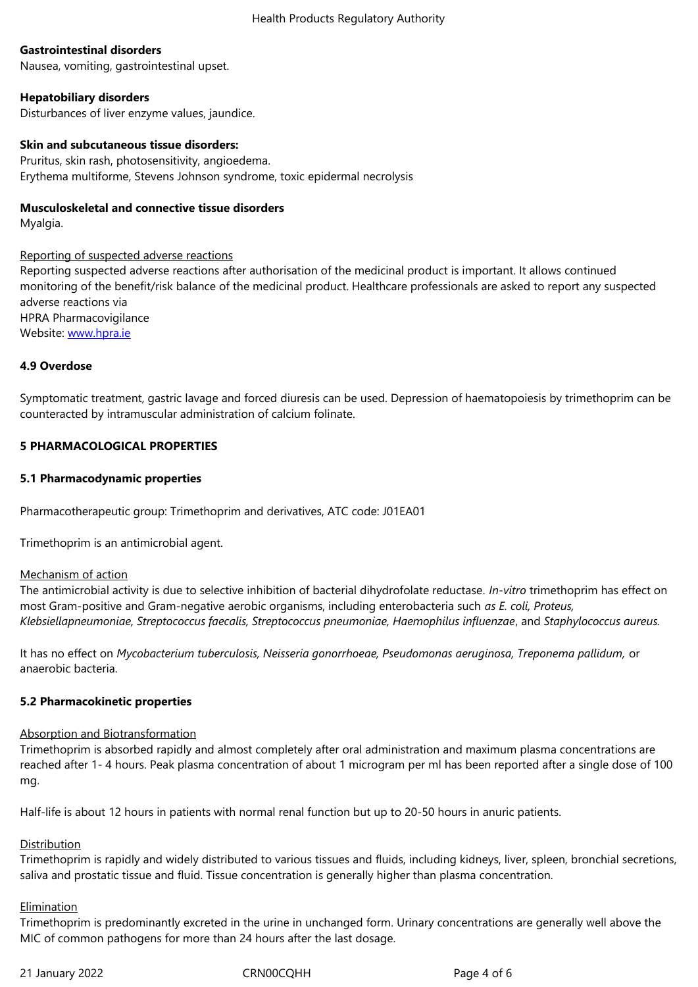Nausea, vomiting, gastrointestinal upset.

#### **Hepatobiliary disorders**

Disturbances of liver enzyme values, jaundice.

#### **Skin and subcutaneous tissue disorders:**

Pruritus, skin rash, photosensitivity, angioedema. Erythema multiforme, Stevens Johnson syndrome, toxic epidermal necrolysis

#### **Musculoskeletal and connective tissue disorders**

Myalgia.

Reporting of suspected adverse reactions Reporting suspected adverse reactions after authorisation of the medicinal product is important. It allows continued monitoring of the benefit/risk balance of the medicinal product. Healthcare professionals are asked to report any suspected adverse reactions via HPRA Pharmacovigilance Website: www.hpra.ie

#### **4.9 Overdose**

Sympto[matic treatme](http://www.hpra.ie/)nt, gastric lavage and forced diuresis can be used. Depression of haematopoiesis by trimethoprim can be counteracted by intramuscular administration of calcium folinate.

#### **5 PHARMACOLOGICAL PROPERTIES**

#### **5.1 Pharmacodynamic properties**

Pharmacotherapeutic group: Trimethoprim and derivatives, ATC code: J01EA01

Trimethoprim is an antimicrobial agent.

#### Mechanism of action

The antimicrobial activity is due to selective inhibition of bacterial dihydrofolate reductase*. In-vitro* trimethoprim has effect on most Gram-positive and Gram-negative aerobic organisms, including enterobacteria such *as E. coli, Proteus, Klebsiellapneumoniae, Streptococcus faecalis, Streptococcus pneumoniae, Haemophilus influenzae*, and *Staphylococcus aureus.*

It has no effect on *Mycobacterium tuberculosis, Neisseria gonorrhoeae, Pseudomonas aeruginosa, Treponema pallidum,* or anaerobic bacteria.

#### **5.2 Pharmacokinetic properties**

#### Absorption and Biotransformation

Trimethoprim is absorbed rapidly and almost completely after oral administration and maximum plasma concentrations are reached after 1- 4 hours. Peak plasma concentration of about 1 microgram per ml has been reported after a single dose of 100 mg.

Half-life is about 12 hours in patients with normal renal function but up to 20-50 hours in anuric patients.

#### Distribution

Trimethoprim is rapidly and widely distributed to various tissues and fluids, including kidneys, liver, spleen, bronchial secretions, saliva and prostatic tissue and fluid. Tissue concentration is generally higher than plasma concentration.

#### **Elimination**

Trimethoprim is predominantly excreted in the urine in unchanged form. Urinary concentrations are generally well above the MIC of common pathogens for more than 24 hours after the last dosage.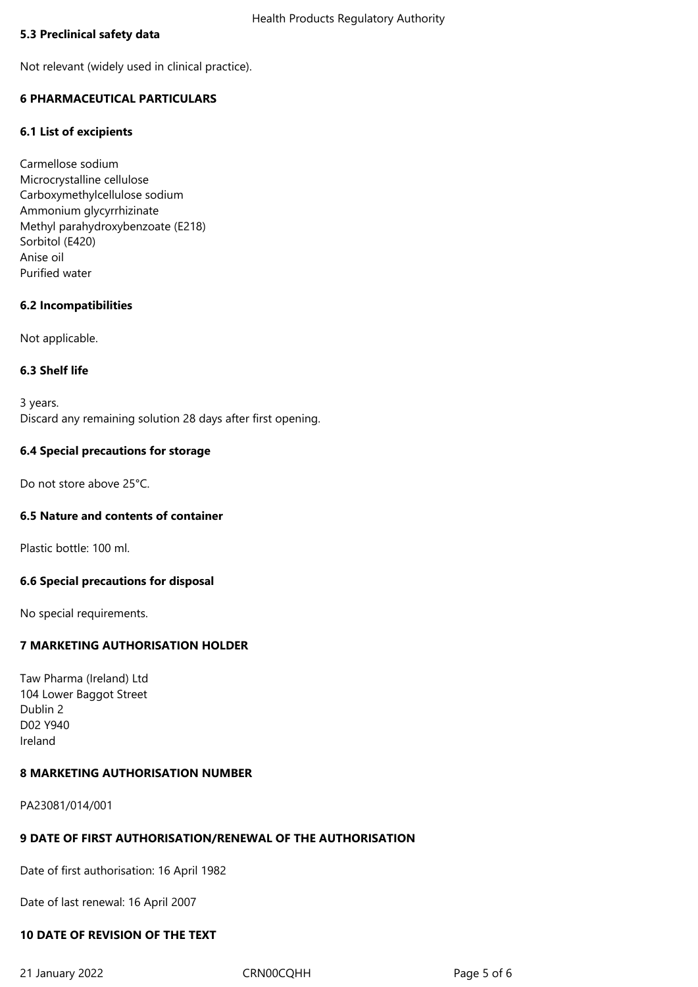#### **5.3 Preclinical safety data**

Not relevant (widely used in clinical practice).

# **6 PHARMACEUTICAL PARTICULARS**

#### **6.1 List of excipients**

Carmellose sodium Microcrystalline cellulose Carboxymethylcellulose sodium Ammonium glycyrrhizinate Methyl parahydroxybenzoate (E218) Sorbitol (E420) Anise oil Purified water

#### **6.2 Incompatibilities**

Not applicable.

#### **6.3 Shelf life**

3 years. Discard any remaining solution 28 days after first opening.

#### **6.4 Special precautions for storage**

Do not store above 25°C.

#### **6.5 Nature and contents of container**

Plastic bottle: 100 ml.

#### **6.6 Special precautions for disposal**

No special requirements.

# **7 MARKETING AUTHORISATION HOLDER**

Taw Pharma (Ireland) Ltd 104 Lower Baggot Street Dublin 2 D02 Y940 Ireland

#### **8 MARKETING AUTHORISATION NUMBER**

PA23081/014/001

#### **9 DATE OF FIRST AUTHORISATION/RENEWAL OF THE AUTHORISATION**

Date of first authorisation: 16 April 1982

Date of last renewal: 16 April 2007

# **10 DATE OF REVISION OF THE TEXT**

21 January 2022 CRN00CQHH Page 5 of 6